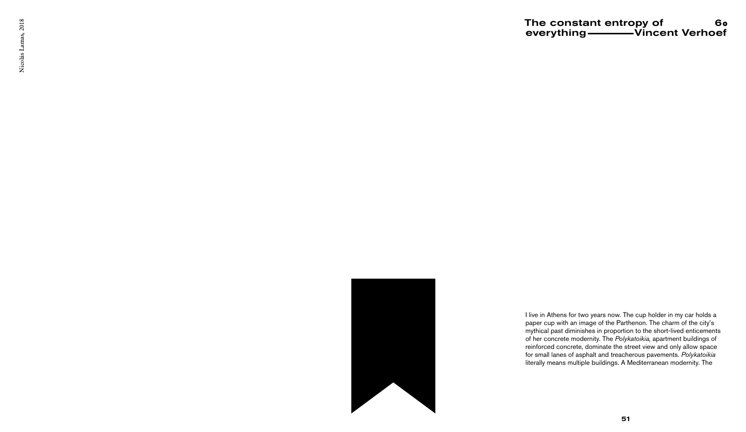The constant entropy of everything **which all Control** Verhoef 6

I live in Athens for two years now. The cup holder in my car holds a paper cup with an image of the Parthenon. The charm of the city's mythical past diminishes in proportion to the short-lived enticements of her concrete modernity. The *Polykatoikia,* apartment buildings of reinforced concrete, dominate the street view and only allow space for small lanes of asphalt and treacherous pavements. *Polykatoikia*  literally means multiple buildings. A Mediterranean modernity. The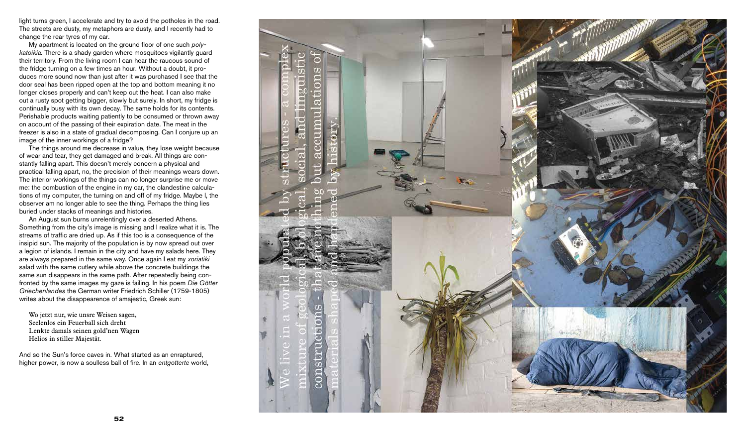light turns green, I accelerate and try to avoid the potholes in the road. The streets are dusty, my metaphors are dusty, and I recently had to change the rear tyres of my car.

My apartment is located on the ground floor of one such *polykatoikia.* There is a shady garden where mosquitoes vigilantly guard their territory. From the living room I can hear the raucous sound of the fridge turning on a few times an hour. Without a doubt, it produces more sound now than just after it was purchased I see that the door seal has been ripped open at the top and bottom meaning it no longer closes properly and can't keep out the heat. I can also make out a rusty spot getting bigger, slowly but surely. In short, my fridge is continually busy with its own decay. The same holds for its contents. Perishable products waiting patiently to be consumed or thrown away on account of the passing of their expiration date. The meat in the freezer is also in a state of gradual decomposing. Can I conjure up an image of the inner workings of a fridge?

The things around me decrease in value, they lose weight because of wear and tear, they get damaged and break. All things are constantly falling apart. This doesn't merely concern a physical and practical falling apart, no, the precision of their meanings wears down. The interior workings of the things can no longer surprise me or move me: the combustion of the engine in my car, the clandestine calculations of my computer, the turning on and off of my fridge. Maybe I, the observer am no longer able to see the thing. Perhaps the thing lies buried under stacks of meanings and histories.

An August sun burns unrelentingly over a deserted Athens. Something from the city's image is missing and I realize what it is. The streams of traffic are dried up. As if this too is a consequence of the insipid sun. The majority of the population is by now spread out over a legion of islands. I remain in the city and have my salads here. They are always prepared in the same way. Once again I eat my *xoriatiki*  salad with the same cutlery while above the concrete buildings the same sun disappears in the same path. After repeatedly being confronted by the same images my gaze is failing. In his poem *Die Götter Griechenlandes* the German writer Friedrich Schiller (1759-1805) writes about the disappearence of amajestic, Greek sun:

Wo jetzt nur, wie unsre Weisen sagen, Seelenlos ein Feuerball sich dreht Lenkte damals seinen gold'nen Wagen Helios in stiller Majestät.

And so the Sun's force caves in. What started as an enraptured, higher power, is now a soulless ball of fire. In an *entgotterte* world,

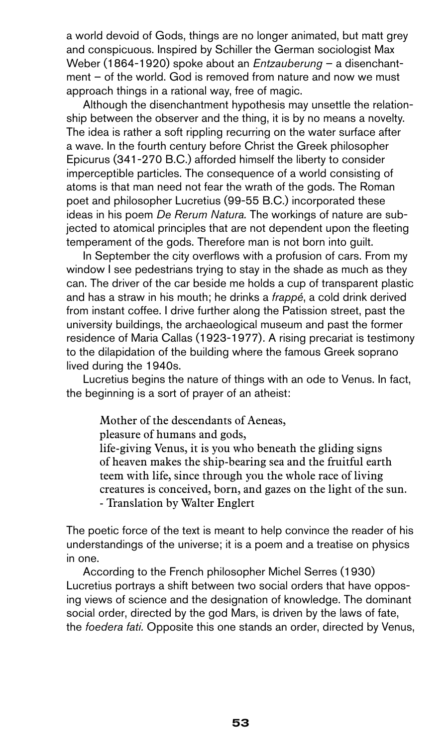a world devoid of Gods, things are no longer animated, but matt grey and conspicuous. Inspired by Schiller the German sociologist Max Weber (1864-1920) spoke about an *Entzauberung* – a disenchantment – of the world. God is removed from nature and now we must approach things in a rational way, free of magic.

Although the disenchantment hypothesis may unsettle the relationship between the observer and the thing, it is by no means a novelty. The idea is rather a soft rippling recurring on the water surface after a wave. In the fourth century before Christ the Greek philosopher Epicurus (341-270 B.C.) afforded himself the liberty to consider imperceptible particles. The consequence of a world consisting of atoms is that man need not fear the wrath of the gods. The Roman poet and philosopher Lucretius (99-55 B.C.) incorporated these ideas in his poem *De Rerum Natura.* The workings of nature are subjected to atomical principles that are not dependent upon the fleeting temperament of the gods. Therefore man is not born into guilt.

In September the city overflows with a profusion of cars. From my window I see pedestrians trying to stay in the shade as much as they can. The driver of the car beside me holds a cup of transparent plastic and has a straw in his mouth; he drinks a *frappé*, a cold drink derived from instant coffee. I drive further along the Patission street, past the university buildings, the archaeological museum and past the former residence of Maria Callas (1923-1977). A rising precariat is testimony to the dilapidation of the building where the famous Greek soprano lived during the 1940s.

Lucretius begins the nature of things with an ode to Venus. In fact, the beginning is a sort of prayer of an atheist:

Mother of the descendants of Aeneas,

pleasure of humans and gods,

life-giving Venus, it is you who beneath the gliding signs of heaven makes the ship-bearing sea and the fruitful earth teem with life, since through you the whole race of living creatures is conceived, born, and gazes on the light of the sun. - Translation by Walter Englert

The poetic force of the text is meant to help convince the reader of his understandings of the universe; it is a poem and a treatise on physics in one.

According to the French philosopher Michel Serres (1930) Lucretius portrays a shift between two social orders that have opposing views of science and the designation of knowledge. The dominant social order, directed by the god Mars, is driven by the laws of fate, the *foedera fati.* Opposite this one stands an order, directed by Venus,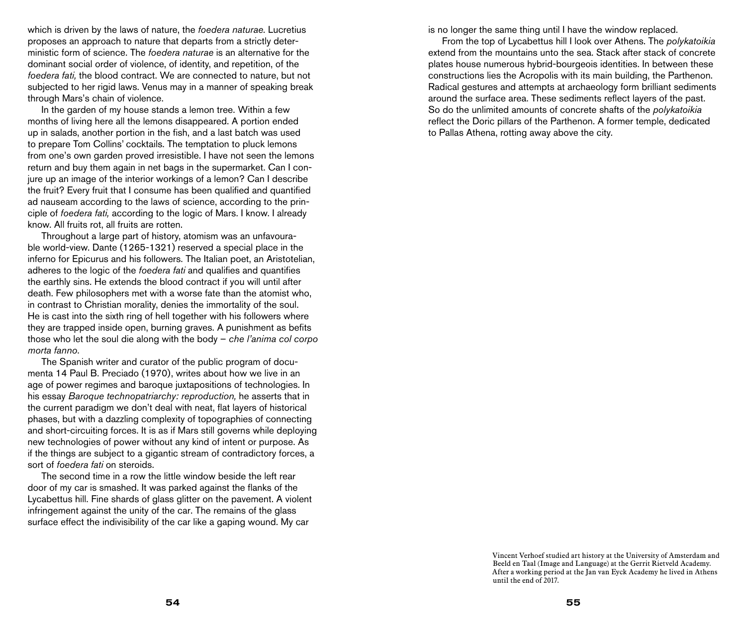which is driven by the laws of nature, the *foedera naturae.* Lucretius proposes an approach to nature that departs from a strictly deterministic form of science. The *foedera naturae* is an alternative for the dominant social order of violence, of identity, and repetition, of the *foedera fati,* the blood contract. We are connected to nature, but not subjected to her rigid laws. Venus may in a manner of speaking break through Mars's chain of violence.

In the garden of my house stands a lemon tree. Within a few months of living here all the lemons disappeared. A portion ended up in salads, another portion in the fish, and a last batch was used to prepare Tom Collins' cocktails. The temptation to pluck lemons from one's own garden proved irresistible. I have not seen the lemons return and buy them again in net bags in the supermarket. Can I conjure up an image of the interior workings of a lemon? Can I describe the fruit? Every fruit that I consume has been qualified and quantified ad nauseam according to the laws of science, according to the principle of *foedera fati,* according to the logic of Mars. I know. I already know. All fruits rot, all fruits are rotten.

Throughout a large part of history, atomism was an unfavourable world-view. Dante (1265-1321) reserved a special place in the inferno for Epicurus and his followers. The Italian poet, an Aristotelian, adheres to the logic of the *foedera fati* and qualifies and quantifies the earthly sins. He extends the blood contract if you will until after death. Few philosophers met with a worse fate than the atomist who, in contrast to Christian morality, denies the immortality of the soul. He is cast into the sixth ring of hell together with his followers where they are trapped inside open, burning graves. A punishment as befits those who let the soul die along with the body – *che l'anima col corpo morta fanno*.

The Spanish writer and curator of the public program of documenta 14 Paul B. Preciado (1970), writes about how we live in an age of power regimes and baroque juxtapositions of technologies. In his essay *Baroque technopatriarchy: reproduction,* he asserts that in the current paradigm we don't deal with neat, flat layers of historical phases, but with a dazzling complexity of topographies of connecting and short-circuiting forces. It is as if Mars still governs while deploying new technologies of power without any kind of intent or purpose. As if the things are subject to a gigantic stream of contradictory forces, a sort of *foedera fati* on steroids.

The second time in a row the little window beside the left rear door of my car is smashed. It was parked against the flanks of the Lycabettus hill. Fine shards of glass glitter on the pavement. A violent infringement against the unity of the car. The remains of the glass surface effect the indivisibility of the car like a gaping wound. My car

is no longer the same thing until I have the window replaced.

From the top of Lycabettus hill I look over Athens. The *polykatoikia*  extend from the mountains unto the sea. Stack after stack of concrete plates house numerous hybrid-bourgeois identities. In between these constructions lies the Acropolis with its main building, the Parthenon. Radical gestures and attempts at archaeology form brilliant sediments around the surface area. These sediments reflect layers of the past. So do the unlimited amounts of concrete shafts of the *polykatoikia*  reflect the Doric pillars of the Parthenon. A former temple, dedicated to Pallas Athena, rotting away above the city.

> Vincent Verhoef studied art history at the University of Amsterdam and Beeld en Taal (Image and Language) at the Gerrit Rietveld Academy. After a working period at the Jan van Eyck Academy he lived in Athens until the end of 2017.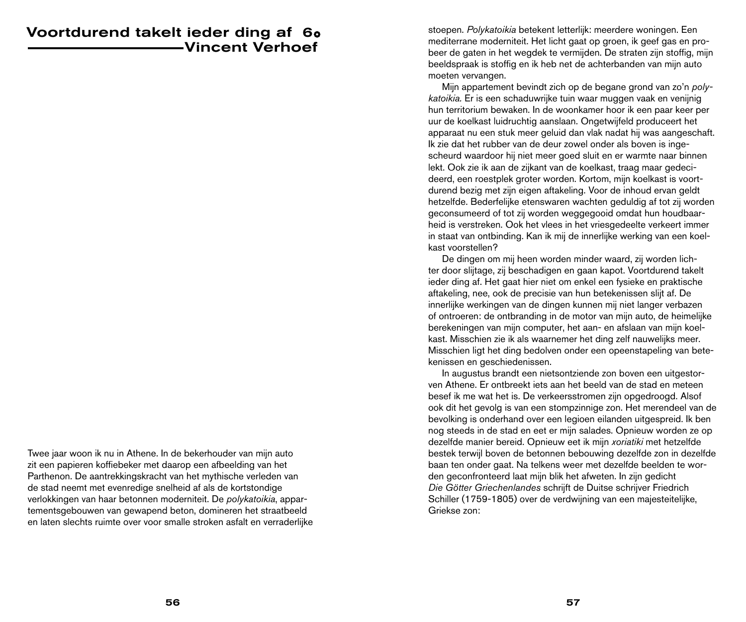## Voortdurend takelt ieder ding af 6Vincent Verhoef

Twee jaar woon ik nu in Athene. In de bekerhouder van mijn auto zit een papieren koffiebeker met daarop een afbeelding van het Parthenon. De aantrekkingskracht van het mythische verleden van de stad neemt met evenredige snelheid af als de kortstondige verlokkingen van haar betonnen moderniteit. De *polykatoikia*, appartementsgebouwen van gewapend beton, domineren het straatbeeld en laten slechts ruimte over voor smalle stroken asfalt en verraderlijke stoepen. *Polykatoikia* betekent letterlijk: meerdere woningen. Een mediterrane moderniteit. Het licht gaat op groen, ik geef gas en probeer de gaten in het wegdek te vermijden. De straten zijn stoffig, mijn beeldspraak is stoffig en ik heb net de achterbanden van mijn auto moeten vervangen.

Mijn appartement bevindt zich op de begane grond van zo'n *polykatoikia.* Er is een schaduwrijke tuin waar muggen vaak en venijnig hun territorium bewaken. In de woonkamer hoor ik een paar keer per uur de koelkast luidruchtig aanslaan. Ongetwijfeld produceert het apparaat nu een stuk meer geluid dan vlak nadat hij was aangeschaft. Ik zie dat het rubber van de deur zowel onder als boven is ingescheurd waardoor hij niet meer goed sluit en er warmte naar binnen lekt. Ook zie ik aan de zijkant van de koelkast, traag maar gedecideerd, een roestplek groter worden. Kortom, mijn koelkast is voortdurend bezig met zijn eigen aftakeling. Voor de inhoud ervan geldt hetzelfde. Bederfelijke etenswaren wachten geduldig af tot zij worden geconsumeerd of tot zij worden weggegooid omdat hun houdbaarheid is verstreken. Ook het vlees in het vriesgedeelte verkeert immer in staat van ontbinding. Kan ik mij de innerlijke werking van een koelkast voorstellen?

De dingen om mij heen worden minder waard, zij worden lichter door slijtage, zij beschadigen en gaan kapot. Voortdurend takelt ieder ding af. Het gaat hier niet om enkel een fysieke en praktische aftakeling, nee, ook de precisie van hun betekenissen slijt af. De innerlijke werkingen van de dingen kunnen mij niet langer verbazen of ontroeren: de ontbranding in de motor van mijn auto, de heimelijke berekeningen van mijn computer, het aan- en afslaan van mijn koelkast. Misschien zie ik als waarnemer het ding zelf nauwelijks meer. Misschien ligt het ding bedolven onder een opeenstapeling van betekenissen en geschiedenissen.

In augustus brandt een nietsontziende zon boven een uitgestorven Athene. Er ontbreekt iets aan het beeld van de stad en meteen besef ik me wat het is. De verkeersstromen zijn opgedroogd. Alsof ook dit het gevolg is van een stompzinnige zon. Het merendeel van de bevolking is onderhand over een legioen eilanden uitgespreid. Ik ben nog steeds in de stad en eet er mijn salades. Opnieuw worden ze op dezelfde manier bereid. Opnieuw eet ik mijn *xoriatiki* met hetzelfde bestek terwijl boven de betonnen bebouwing dezelfde zon in dezelfde baan ten onder gaat. Na telkens weer met dezelfde beelden te worden geconfronteerd laat mijn blik het afweten. In zijn gedicht *Die Götter Griechenlandes* schrijft de Duitse schrijver Friedrich Schiller (1759-1805) over de verdwijning van een majesteitelijke, Griekse zon: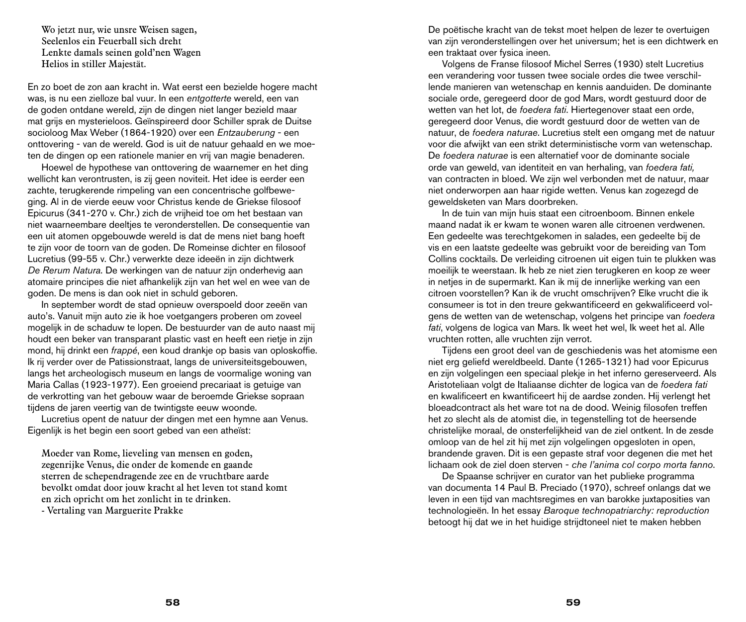Wo jetzt nur, wie unsre Weisen sagen, Seelenlos ein Feuerball sich dreht Lenkte damals seinen gold'nen Wagen Helios in stiller Majestät.

En zo boet de zon aan kracht in. Wat eerst een bezielde hogere macht was, is nu een zielloze bal vuur. In een *entgotterte* wereld, een van de goden ontdane wereld, zijn de dingen niet langer bezield maar mat grijs en mysterieloos. Geïnspireerd door Schiller sprak de Duitse socioloog Max Weber (1864-1920) over een *Entzauberung* - een onttovering - van de wereld. God is uit de natuur gehaald en we moeten de dingen op een rationele manier en vrij van magie benaderen.

Hoewel de hypothese van onttovering de waarnemer en het ding wellicht kan verontrusten, is zij geen noviteit. Het idee is eerder een zachte, terugkerende rimpeling van een concentrische golfbeweging. Al in de vierde eeuw voor Christus kende de Griekse filosoof Epicurus (341-270 v. Chr.) zich de vrijheid toe om het bestaan van niet waarneembare deeltjes te veronderstellen. De consequentie van een uit atomen opgebouwde wereld is dat de mens niet bang hoeft te zijn voor de toorn van de goden. De Romeinse dichter en filosoof Lucretius (99-55 v. Chr.) verwerkte deze ideeën in zijn dichtwerk *De Rerum Natura*. De werkingen van de natuur zijn onderhevig aan atomaire principes die niet afhankelijk zijn van het wel en wee van de goden. De mens is dan ook niet in schuld geboren.

In september wordt de stad opnieuw overspoeld door zeeën van auto's. Vanuit mijn auto zie ik hoe voetgangers proberen om zoveel mogelijk in de schaduw te lopen. De bestuurder van de auto naast mij houdt een beker van transparant plastic vast en heeft een rietje in zijn mond, hij drinkt een *frappé*, een koud drankje op basis van oploskoffie. Ik rij verder over de Patissionstraat, langs de universiteitsgebouwen, langs het archeologisch museum en langs de voormalige woning van Maria Callas (1923-1977). Een groeiend precariaat is getuige van de verkrotting van het gebouw waar de beroemde Griekse sopraan tijdens de jaren veertig van de twintigste eeuw woonde.

Lucretius opent de natuur der dingen met een hymne aan Venus. Eigenlijk is het begin een soort gebed van een atheïst:

Moeder van Rome, lieveling van mensen en goden, zegenrijke Venus, die onder de komende en gaande sterren de schependragende zee en de vruchtbare aarde bevolkt omdat door jouw kracht al het leven tot stand komt en zich opricht om het zonlicht in te drinken.

- Vertaling van Marguerite Prakke

De poëtische kracht van de tekst moet helpen de lezer te overtuigen van zijn veronderstellingen over het universum; het is een dichtwerk en een traktaat over fysica ineen.

Volgens de Franse filosoof Michel Serres (1930) stelt Lucretius een verandering voor tussen twee sociale ordes die twee verschillende manieren van wetenschap en kennis aanduiden. De dominante sociale orde, geregeerd door de god Mars, wordt gestuurd door de wetten van het lot, de *foedera fati*. Hiertegenover staat een orde, geregeerd door Venus, die wordt gestuurd door de wetten van de natuur, de *foedera naturae*. Lucretius stelt een omgang met de natuur voor die afwijkt van een strikt deterministische vorm van wetenschap. De *foedera naturae* is een alternatief voor de dominante sociale orde van geweld, van identiteit en van herhaling, van *foedera fati,*  van contracten in bloed. We zijn wel verbonden met de natuur, maar niet onderworpen aan haar rigide wetten. Venus kan zogezegd de geweldsketen van Mars doorbreken.

In de tuin van mijn huis staat een citroenboom. Binnen enkele maand nadat ik er kwam te wonen waren alle citroenen verdwenen. Een gedeelte was terechtgekomen in salades, een gedeelte bij de vis en een laatste gedeelte was gebruikt voor de bereiding van Tom Collins cocktails. De verleiding citroenen uit eigen tuin te plukken was moeilijk te weerstaan. Ik heb ze niet zien terugkeren en koop ze weer in netjes in de supermarkt. Kan ik mij de innerlijke werking van een citroen voorstellen? Kan ik de vrucht omschrijven? Elke vrucht die ik consumeer is tot in den treure gekwantificeerd en gekwalificeerd volgens de wetten van de wetenschap, volgens het principe van *foedera fati*, volgens de logica van Mars. Ik weet het wel, Ik weet het al. Alle vruchten rotten, alle vruchten zijn verrot.

Tijdens een groot deel van de geschiedenis was het atomisme een niet erg geliefd wereldbeeld. Dante (1265-1321) had voor Epicurus en zijn volgelingen een speciaal plekje in het inferno gereserveerd. Als Aristoteliaan volgt de Italiaanse dichter de logica van de *foedera fati*  en kwalificeert en kwantificeert hij de aardse zonden. Hij verlengt het bloeadcontract als het ware tot na de dood. Weinig filosofen treffen het zo slecht als de atomist die, in tegenstelling tot de heersende christelijke moraal, de onsterfelijkheid van de ziel ontkent. In de zesde omloop van de hel zit hij met zijn volgelingen opgesloten in open, brandende graven. Dit is een gepaste straf voor degenen die met het lichaam ook de ziel doen sterven - *che l'anima col corpo morta fanno*.

De Spaanse schrijver en curator van het publieke programma van documenta 14 Paul B. Preciado (1970), schreef onlangs dat we leven in een tijd van machtsregimes en van barokke juxtaposities van technologieën. In het essay *Baroque technopatriarchy: reproduction*  betoogt hij dat we in het huidige strijdtoneel niet te maken hebben